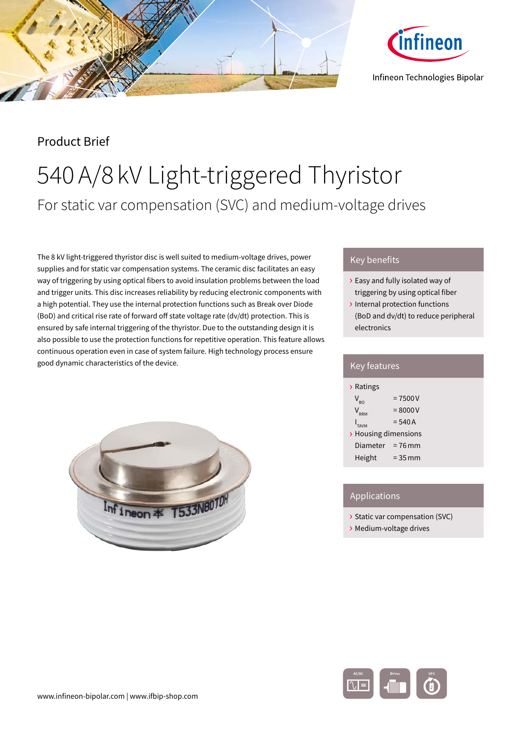



# Product Brief

# 540A/8 kV Light-triggered Thyristor For static var compensation (SVC) and medium-voltage drives

The 8 kV light-triggered thyristor disc is well suited to medium-voltage drives, power supplies and for static var compensation systems. The ceramic disc facilitates an easy way of triggering by using optical fibers to avoid insulation problems between the load and trigger units. This disc increases reliability by reducing electronic components with a high potential. They use the internal protection functions such as Break over Diode (BoD) and critical rise rate of forward off state voltage rate (dv/dt) protection. This is ensured by safe internal triggering of the thyristor. Due to the outstanding design it is also possible to use the protection functions for repetitive operation. This feature allows continuous operation even in case of system failure. High technology process ensure good dynamic characteristics of the device.



## Key benefits

- › Easy and fully isolated way of triggering by using optical fiber
- › Internal protection functions (BoD and dv/dt) to reduce peripheral electronics

| <b>Key features</b>  |            |  |
|----------------------|------------|--|
| > Ratings            |            |  |
| $V_{R0}$             | $= 7500V$  |  |
| $V_{\text{RRM}}$     | $= 8000 V$ |  |
| $I_{TAVM}$           | $= 540 A$  |  |
| > Housing dimensions |            |  |
| Diameter = $76$ mm   |            |  |
| Height               | $= 35$ mm  |  |
|                      |            |  |

## **Applications**

- › Static var compensation (SVC)
- › Medium-voltage drives